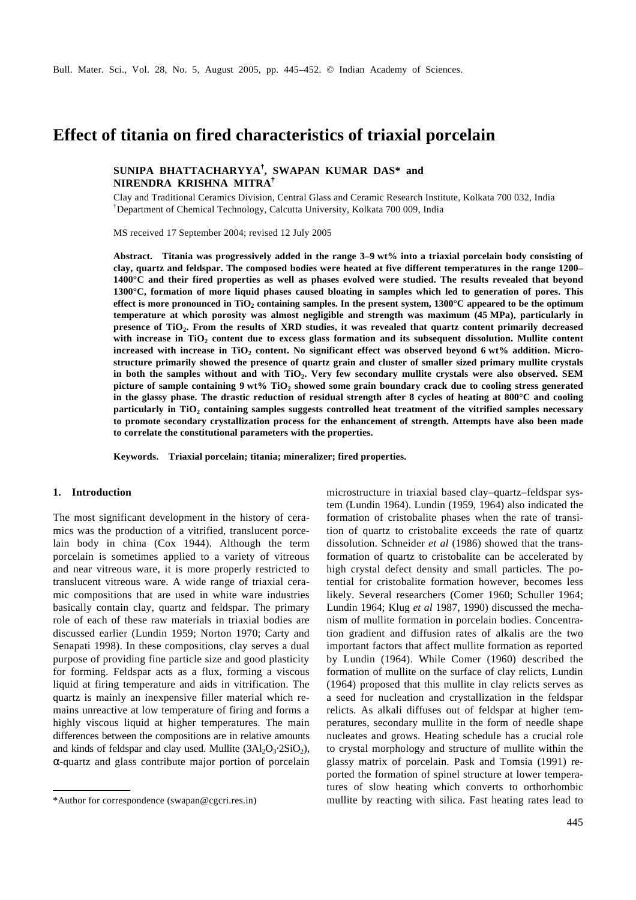# **Effect of titania on fired characteristics of triaxial porcelain**

## **SUNIPA BHATTACHARYYA † , SWAPAN KUMAR DAS\* and NIRENDRA KRISHNA MITRA†**

Clay and Traditional Ceramics Division, Central Glass and Ceramic Research Institute, Kolkata 700 032, India †Department of Chemical Technology, Calcutta University, Kolkata 700 009, India

MS received 17 September 2004; revised 12 July 2005

**Abstract. Titania was progressively added in the range 3–9 wt% into a triaxial porcelain body consisting of clay, quartz and feldspar. The composed bodies were heated at five different temperatures in the range 1200– 1400°C and their fired properties as well as phases evolved were studied. The results revealed that beyond 1300°C, formation of more liquid phases caused bloating in samples which led to generation of pores. This effect is more pronounced in TiO<sup>2</sup> containing samples. In the present system, 1300°C appeared to be the optimum temperature at which porosity was almost negligible and strength was maximum (45 MPa), particularly in presence of TiO<sup>2</sup> . From the results of XRD studies, it was revealed that quartz content primarily decreased with increase in TiO<sup>2</sup> content due to excess glass formation and its subsequent dissolution. Mullite content increased with increase in TiO<sup>2</sup> content. No significant effect was observed beyond 6 wt% addition. Microstructure primarily showed the presence of quartz grain and cluster of smaller sized primary mullite crystals in both the samples without and with TiO<sup>2</sup> . Very few secondary mullite crystals were also observed. SEM picture of sample containing 9 wt% TiO<sup>2</sup> showed some grain boundary crack due to cooling stress generated in the glassy phase. The drastic reduction of residual strength after 8 cycles of heating at 800°C and cooling particularly in TiO<sup>2</sup> containing samples suggests controlled heat treatment of the vitrified samples necessary to promote secondary crystallization process for the enhancement of strength. Attempts have also been made to correlate the constitutional parameters with the properties.**

**Keywords. Triaxial porcelain; titania; mineralizer; fired properties.**

### **1. Introduction**

The most significant development in the history of ceramics was the production of a vitrified, translucent porcelain body in china (Cox 1944). Although the term porcelain is sometimes applied to a variety of vitreous and near vitreous ware, it is more properly restricted to translucent vitreous ware. A wide range of triaxial ceramic compositions that are used in white ware industries basically contain clay, quartz and feldspar. The primary role of each of these raw materials in triaxial bodies are discussed earlier (Lundin 1959; Norton 1970; Carty and Senapati 1998). In these compositions, clay serves a dual purpose of providing fine particle size and good plasticity for forming. Feldspar acts as a flux, forming a viscous liquid at firing temperature and aids in vitrification. The quartz is mainly an inexpensive filler material which remains unreactive at low temperature of firing and forms a highly viscous liquid at higher temperatures. The main differences between the compositions are in relative amounts and kinds of feldspar and clay used. Mullite  $(3Al<sub>2</sub>O<sub>3</sub>·2SiO<sub>2</sub>)$ , *a*-quartz and glass contribute major portion of porcelain

microstructure in triaxial based clay–quartz–feldspar system (Lundin 1964). Lundin (1959, 1964) also indicated the formation of cristobalite phases when the rate of transition of quartz to cristobalite exceeds the rate of quartz dissolution. Schneider *et al* (1986) showed that the transformation of quartz to cristobalite can be accelerated by high crystal defect density and small particles. The potential for cristobalite formation however, becomes less likely. Several researchers (Comer 1960; Schuller 1964; Lundin 1964; Klug *et al* 1987, 1990) discussed the mechanism of mullite formation in porcelain bodies. Concentration gradient and diffusion rates of alkalis are the two important factors that affect mullite formation as reported by Lundin (1964). While Comer (1960) described the formation of mullite on the surface of clay relicts, Lundin (1964) proposed that this mullite in clay relicts serves as a seed for nucleation and crystallization in the feldspar relicts. As alkali diffuses out of feldspar at higher temperatures, secondary mullite in the form of needle shape nucleates and grows. Heating schedule has a crucial role to crystal morphology and structure of mullite within the glassy matrix of porcelain. Pask and Tomsia (1991) reported the formation of spinel structure at lower temperatures of slow heating which converts to orthorhombic \*Author for correspondence (swapan@cgcri.res.in) mullite by reacting with silica. Fast heating rates lead to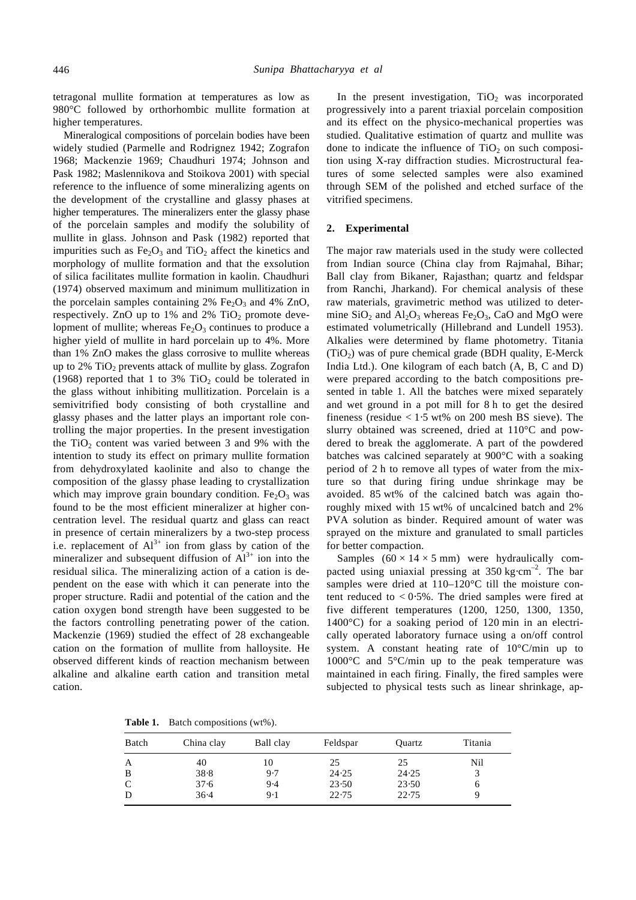tetragonal mullite formation at temperatures as low as 980°C followed by orthorhombic mullite formation at higher temperatures.

Mineralogical compositions of porcelain bodies have been widely studied (Parmelle and Rodrignez 1942; Zografon 1968; Mackenzie 1969; Chaudhuri 1974; Johnson and Pask 1982; Maslennikova and Stoikova 2001) with special reference to the influence of some mineralizing agents on the development of the crystalline and glassy phases at higher temperatures. The mineralizers enter the glassy phase of the porcelain samples and modify the solubility of mullite in glass. Johnson and Pask (1982) reported that impurities such as  $Fe<sub>2</sub>O<sub>3</sub>$  and TiO<sub>2</sub> affect the kinetics and morphology of mullite formation and that the exsolution of silica facilitates mullite formation in kaolin. Chaudhuri (1974) observed maximum and minimum mullitization in the porcelain samples containing  $2\%$  Fe<sub>2</sub>O<sub>3</sub> and  $4\%$  ZnO, respectively. ZnO up to  $1\%$  and  $2\%$  TiO<sub>2</sub> promote development of mullite; whereas  $Fe<sub>2</sub>O<sub>3</sub>$  continues to produce a higher yield of mullite in hard porcelain up to 4%. More than 1% ZnO makes the glass corrosive to mullite whereas up to  $2\%$  TiO<sub>2</sub> prevents attack of mullite by glass. Zografon (1968) reported that 1 to 3%  $TiO<sub>2</sub>$  could be tolerated in the glass without inhibiting mullitization. Porcelain is a semivitrified body consisting of both crystalline and glassy phases and the latter plays an important role controlling the major properties. In the present investigation the TiO<sub>2</sub> content was varied between 3 and 9% with the intention to study its effect on primary mullite formation from dehydroxylated kaolinite and also to change the composition of the glassy phase leading to crystallization which may improve grain boundary condition. Fe<sub>2</sub>O<sub>3</sub> was found to be the most efficient mineralizer at higher concentration level. The residual quartz and glass can react in presence of certain mineralizers by a two-step process i.e. replacement of  $Al^{3+}$  ion from glass by cation of the mineralizer and subsequent diffusion of  $Al^{3+}$  ion into the residual silica. The mineralizing action of a cation is dependent on the ease with which it can penerate into the proper structure. Radii and potential of the cation and the cation oxygen bond strength have been suggested to be the factors controlling penetrating power of the cation. Mackenzie (1969) studied the effect of 28 exchangeable cation on the formation of mullite from halloysite. He observed different kinds of reaction mechanism between alkaline and alkaline earth cation and transition metal cation.

In the present investigation,  $TiO<sub>2</sub>$  was incorporated progressively into a parent triaxial porcelain composition and its effect on the physico-mechanical properties was studied. Qualitative estimation of quartz and mullite was done to indicate the influence of  $TiO<sub>2</sub>$  on such composition using X-ray diffraction studies. Microstructural features of some selected samples were also examined through SEM of the polished and etched surface of the vitrified specimens.

## **2. Experimental**

The major raw materials used in the study were collected from Indian source (China clay from Rajmahal, Bihar; Ball clay from Bikaner, Rajasthan; quartz and feldspar from Ranchi, Jharkand). For chemical analysis of these raw materials, gravimetric method was utilized to determine  $SiO<sub>2</sub>$  and  $Al<sub>2</sub>O<sub>3</sub>$  whereas Fe<sub>2</sub>O<sub>3</sub>, CaO and MgO were estimated volumetrically (Hillebrand and Lundell 1953). Alkalies were determined by flame photometry. Titania  $(TiO<sub>2</sub>)$  was of pure chemical grade (BDH quality, E-Merck India Ltd.). One kilogram of each batch (A, B, C and D) were prepared according to the batch compositions presented in table 1. All the batches were mixed separately and wet ground in a pot mill for 8 h to get the desired fineness (residue  $< 1.5$  wt% on 200 mesh BS sieve). The slurry obtained was screened, dried at 110°C and powdered to break the agglomerate. A part of the powdered batches was calcined separately at 900°C with a soaking period of 2 h to remove all types of water from the mixture so that during firing undue shrinkage may be avoided. 85 wt% of the calcined batch was again thoroughly mixed with 15 wt% of uncalcined batch and 2% PVA solution as binder. Required amount of water was sprayed on the mixture and granulated to small particles for better compaction.

Samples  $(60 \times 14 \times 5 \text{ mm})$  were hydraulically compacted using uniaxial pressing at  $350 \text{ kg} \cdot \text{cm}^{-2}$ . The bar samples were dried at 110–120°C till the moisture content reduced to  $\lt 0.5\%$ . The dried samples were fired at five different temperatures (1200, 1250, 1300, 1350, 1400°C) for a soaking period of 120 min in an electrically operated laboratory furnace using a on/off control system. A constant heating rate of 10°C/min up to 1000°C and 5°C/min up to the peak temperature was maintained in each firing. Finally, the fired samples were subjected to physical tests such as linear shrinkage, ap-

**Table 1.** Batch compositions (wt%).

| Batch        | China clay | Ball clay | Feldspar | Quartz | Titania |
|--------------|------------|-----------|----------|--------|---------|
| A            | 40         | 10        | 25       | 25     | Nil     |
| B            | 38.8       | 9.7       | 24.25    | 24.25  |         |
| $\mathsf{C}$ | 37.6       | 9.4       | 23.50    | 23.50  | O       |
| D            | 36.4       | 9.1       | 22.75    | 22.75  |         |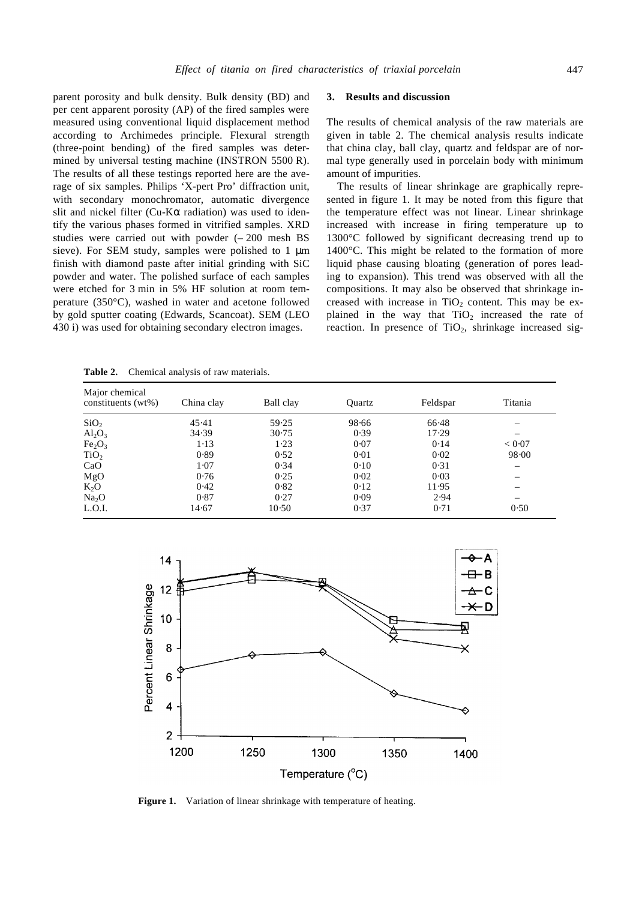parent porosity and bulk density. Bulk density (BD) and per cent apparent porosity (AP) of the fired samples were measured using conventional liquid displacement method according to Archimedes principle. Flexural strength (three-point bending) of the fired samples was determined by universal testing machine (INSTRON 5500 R). The results of all these testings reported here are the average of six samples. Philips 'X-pert Pro' diffraction unit, with secondary monochromator, automatic divergence slit and nickel filter (Cu-K*a* radiation) was used to identify the various phases formed in vitrified samples. XRD studies were carried out with powder  $(-200 \text{ mesh } BS$ sieve). For SEM study, samples were polished to 1 μm finish with diamond paste after initial grinding with SiC powder and water. The polished surface of each samples were etched for 3 min in 5% HF solution at room temperature (350°C), washed in water and acetone followed by gold sputter coating (Edwards, Scancoat). SEM (LEO 430 i) was used for obtaining secondary electron images.

#### **3. Results and discussion**

The results of chemical analysis of the raw materials are given in table 2. The chemical analysis results indicate that china clay, ball clay, quartz and feldspar are of normal type generally used in porcelain body with minimum amount of impurities.

The results of linear shrinkage are graphically represented in figure 1. It may be noted from this figure that the temperature effect was not linear. Linear shrinkage increased with increase in firing temperature up to 1300°C followed by significant decreasing trend up to 1400°C. This might be related to the formation of more liquid phase causing bloating (generation of pores leading to expansion). This trend was observed with all the compositions. It may also be observed that shrinkage increased with increase in  $TiO<sub>2</sub>$  content. This may be explained in the way that  $TiO<sub>2</sub>$  increased the rate of reaction. In presence of  $TiO<sub>2</sub>$ , shrinkage increased sig-

**Table 2.** Chemical analysis of raw materials.

| Major chemical<br>constituents (wt%) | China clay | Ball clay | Ouartz | Feldspar | Titania |
|--------------------------------------|------------|-----------|--------|----------|---------|
| SiO <sub>2</sub>                     | 45.41      | 59.25     | 98.66  | 66.48    |         |
| $Al_2O_3$                            | 34.39      | 30.75     | 0.39   | 17.29    |         |
| Fe <sub>2</sub> O <sub>3</sub>       | $1-13$     | 1.23      | 0.07   | 0.14     | < 0.07  |
| TiO <sub>2</sub>                     | 0.89       | 0.52      | 0.01   | 0.02     | 98.00   |
| CaO                                  | 1.07       | 0.34      | 0.10   | 0.31     |         |
| MgO                                  | 0.76       | 0.25      | 0.02   | 0.03     |         |
| $K_2O$                               | 0.42       | 0.82      | 0.12   | 11.95    |         |
| Na <sub>2</sub> O                    | 0.87       | 0.27      | 0.09   | 2.94     |         |
| L.O.I.                               | 14.67      | 10.50     | 0.37   | 0.71     | 0.50    |



Figure 1. Variation of linear shrinkage with temperature of heating.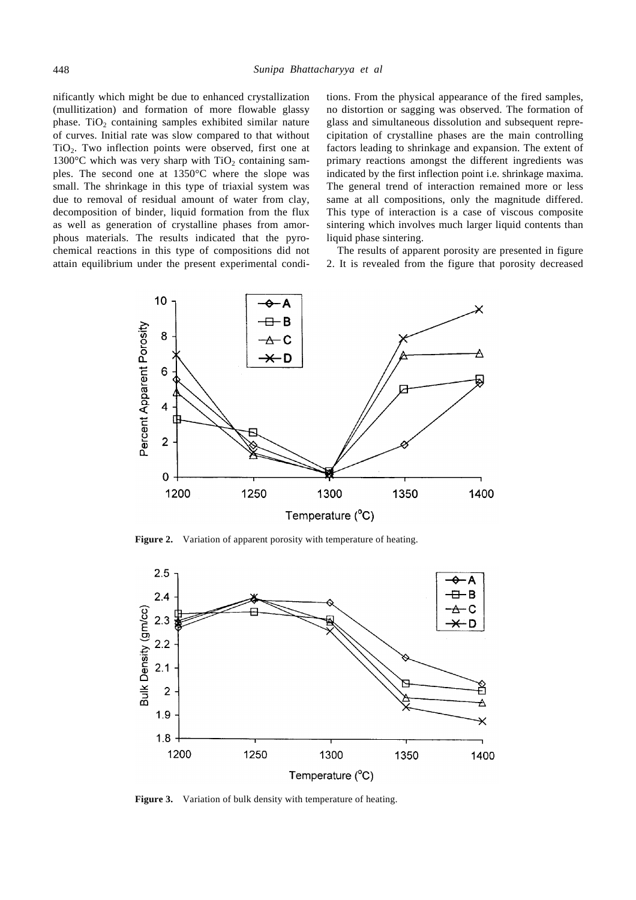nificantly which might be due to enhanced crystallization (mullitization) and formation of more flowable glassy phase. TiO<sub>2</sub> containing samples exhibited similar nature of curves. Initial rate was slow compared to that without  $TiO<sub>2</sub>$ . Two inflection points were observed, first one at 1300 $\degree$ C which was very sharp with TiO<sub>2</sub> containing samples. The second one at 1350°C where the slope was small. The shrinkage in this type of triaxial system was due to removal of residual amount of water from clay, decomposition of binder, liquid formation from the flux as well as generation of crystalline phases from amorphous materials. The results indicated that the pyrochemical reactions in this type of compositions did not attain equilibrium under the present experimental conditions. From the physical appearance of the fired samples, no distortion or sagging was observed. The formation of glass and simultaneous dissolution and subsequent reprecipitation of crystalline phases are the main controlling factors leading to shrinkage and expansion. The extent of primary reactions amongst the different ingredients was indicated by the first inflection point i.e. shrinkage maxima. The general trend of interaction remained more or less same at all compositions, only the magnitude differed. This type of interaction is a case of viscous composite sintering which involves much larger liquid contents than liquid phase sintering.

The results of apparent porosity are presented in figure 2. It is revealed from the figure that porosity decreased



**Figure 2.** Variation of apparent porosity with temperature of heating.



**Figure 3.** Variation of bulk density with temperature of heating.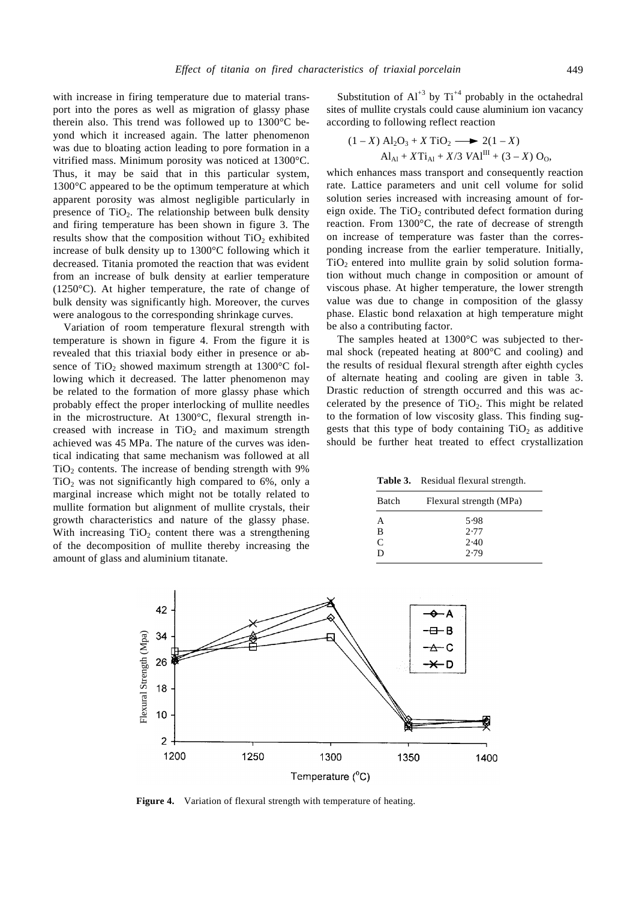with increase in firing temperature due to material transport into the pores as well as migration of glassy phase therein also. This trend was followed up to 1300°C beyond which it increased again. The latter phenomenon was due to bloating action leading to pore formation in a vitrified mass. Minimum porosity was noticed at 1300°C. Thus, it may be said that in this particular system, 1300°C appeared to be the optimum temperature at which apparent porosity was almost negligible particularly in presence of  $TiO<sub>2</sub>$ . The relationship between bulk density and firing temperature has been shown in figure 3. The results show that the composition without  $TiO<sub>2</sub>$  exhibited increase of bulk density up to 1300°C following which it decreased. Titania promoted the reaction that was evident from an increase of bulk density at earlier temperature (1250°C). At higher temperature, the rate of change of bulk density was significantly high. Moreover, the curves were analogous to the corresponding shrinkage curves.

Variation of room temperature flexural strength with temperature is shown in figure 4. From the figure it is revealed that this triaxial body either in presence or absence of  $TiO<sub>2</sub>$  showed maximum strength at 1300 $^{\circ}$ C following which it decreased. The latter phenomenon may be related to the formation of more glassy phase which probably effect the proper interlocking of mullite needles in the microstructure. At 1300°C, flexural strength increased with increase in  $TiO<sub>2</sub>$  and maximum strength achieved was 45 MPa. The nature of the curves was identical indicating that same mechanism was followed at all  $TiO<sub>2</sub>$  contents. The increase of bending strength with 9%  $TiO<sub>2</sub>$  was not significantly high compared to 6%, only a marginal increase which might not be totally related to mullite formation but alignment of mullite crystals, their growth characteristics and nature of the glassy phase. With increasing  $TiO<sub>2</sub>$  content there was a strengthening of the decomposition of mullite thereby increasing the amount of glass and aluminium titanate.

Substitution of  $Al^{+3}$  by  $Ti^{+4}$  probably in the octahedral sites of mullite crystals could cause aluminium ion vacancy according to following reflect reaction

$$
(1 - X) A12O3 + X TiO2 → 2(1 - X)
$$
  
Al<sub>A1</sub> + XTi<sub>A1</sub> + X/3 VAI<sup>III</sup> + (3 - X) O<sub>0</sub>,

which enhances mass transport and consequently reaction rate. Lattice parameters and unit cell volume for solid solution series increased with increasing amount of foreign oxide. The  $TiO<sub>2</sub>$  contributed defect formation during reaction. From 1300°C, the rate of decrease of strength on increase of temperature was faster than the corresponding increase from the earlier temperature. Initially,  $TiO<sub>2</sub>$  entered into mullite grain by solid solution formation without much change in composition or amount of viscous phase. At higher temperature, the lower strength value was due to change in composition of the glassy phase. Elastic bond relaxation at high temperature might be also a contributing factor.

The samples heated at 1300°C was subjected to thermal shock (repeated heating at 800°C and cooling) and the results of residual flexural strength after eighth cycles of alternate heating and cooling are given in table 3. Drastic reduction of strength occurred and this was accelerated by the presence of  $TiO<sub>2</sub>$ . This might be related to the formation of low viscosity glass. This finding suggests that this type of body containing  $TiO<sub>2</sub>$  as additive should be further heat treated to effect crystallization

**Table 3.** Residual flexural strength.

| Batch | Flexural strength (MPa) |
|-------|-------------------------|
| А     | 5.98                    |
| B     | 2.77                    |
| C     | 2.40                    |
| D     | 2.79                    |



Figure 4. Variation of flexural strength with temperature of heating.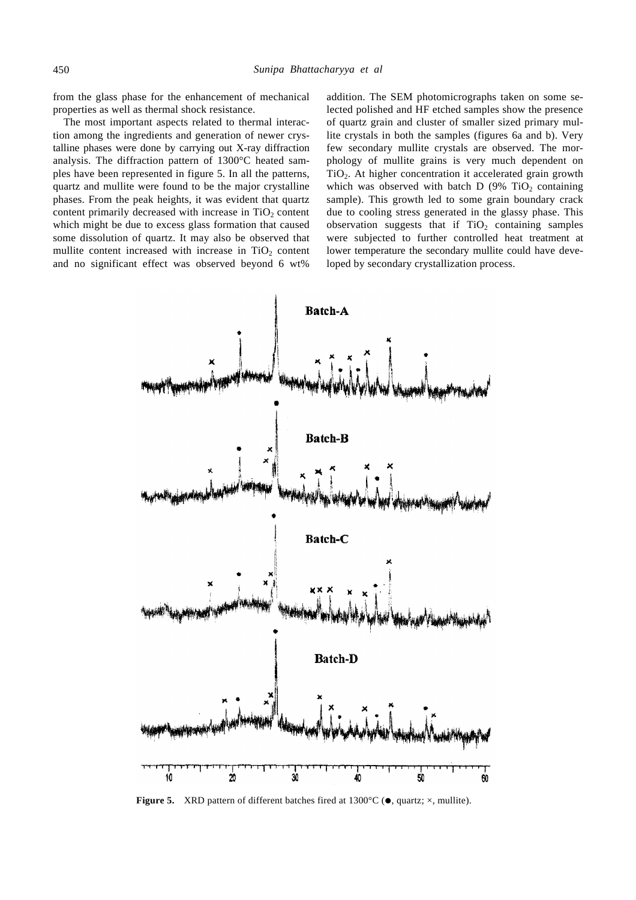from the glass phase for the enhancement of mechanical properties as well as thermal shock resistance.

The most important aspects related to thermal interaction among the ingredients and generation of newer crystalline phases were done by carrying out X-ray diffraction analysis. The diffraction pattern of 1300°C heated samples have been represented in figure 5. In all the patterns, quartz and mullite were found to be the major crystalline phases. From the peak heights, it was evident that quartz content primarily decreased with increase in  $TiO<sub>2</sub>$  content which might be due to excess glass formation that caused some dissolution of quartz. It may also be observed that mullite content increased with increase in  $TiO<sub>2</sub>$  content and no significant effect was observed beyond 6 wt%

addition. The SEM photomicrographs taken on some selected polished and HF etched samples show the presence of quartz grain and cluster of smaller sized primary mullite crystals in both the samples (figures 6a and b). Very few secondary mullite crystals are observed. The morphology of mullite grains is very much dependent on TiO2. At higher concentration it accelerated grain growth which was observed with batch D (9%  $TiO<sub>2</sub>$  containing sample). This growth led to some grain boundary crack due to cooling stress generated in the glassy phase. This observation suggests that if  $TiO<sub>2</sub>$  containing samples were subjected to further controlled heat treatment at lower temperature the secondary mullite could have developed by secondary crystallization process.



**Figure 5.** XRD pattern of different batches fired at  $1300^{\circ}$ C ( $\bullet$ , quartz;  $\times$ , mullite).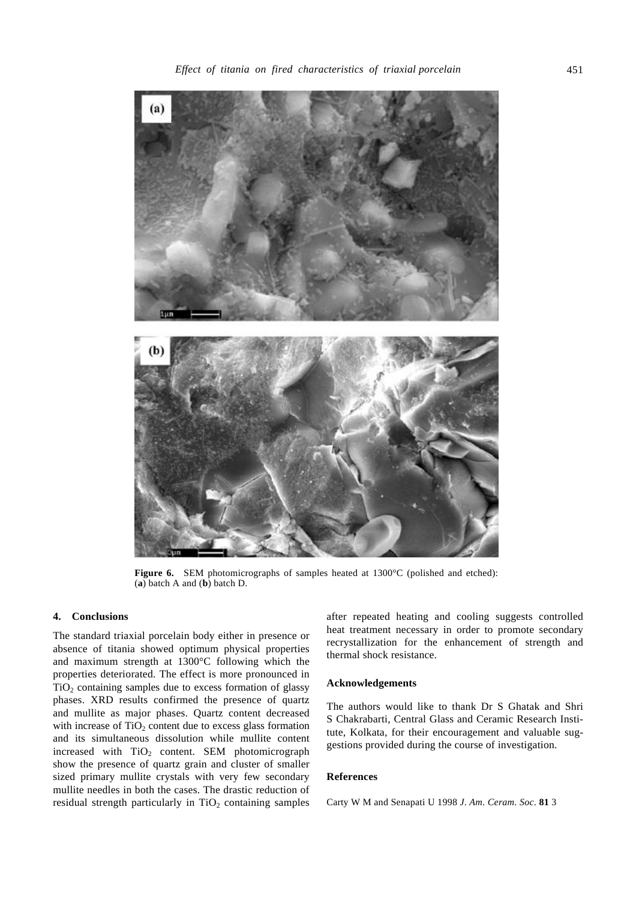

**Figure 6.** SEM photomicrographs of samples heated at 1300°C (polished and etched): (**a**) batch A and (**b**) batch D.

## **4. Conclusions**

The standard triaxial porcelain body either in presence or absence of titania showed optimum physical properties and maximum strength at 1300°C following which the properties deteriorated. The effect is more pronounced in  $TiO<sub>2</sub> containing samples due to excess formation of glassy$ phases. XRD results confirmed the presence of quartz and mullite as major phases. Quartz content decreased with increase of  $TiO<sub>2</sub>$  content due to excess glass formation and its simultaneous dissolution while mullite content increased with  $TiO<sub>2</sub>$  content. SEM photomicrograph show the presence of quartz grain and cluster of smaller sized primary mullite crystals with very few secondary mullite needles in both the cases. The drastic reduction of residual strength particularly in  $TiO<sub>2</sub>$  containing samples

after repeated heating and cooling suggests controlled heat treatment necessary in order to promote secondary recrystallization for the enhancement of strength and thermal shock resistance.

## **Acknowledgements**

The authors would like to thank Dr S Ghatak and Shri S Chakrabarti, Central Glass and Ceramic Research Institute, Kolkata, for their encouragement and valuable suggestions provided during the course of investigation.

## **References**

Carty W M and Senapati U 1998 *J*. *Am*. *Ceram*. *Soc*. **81** 3